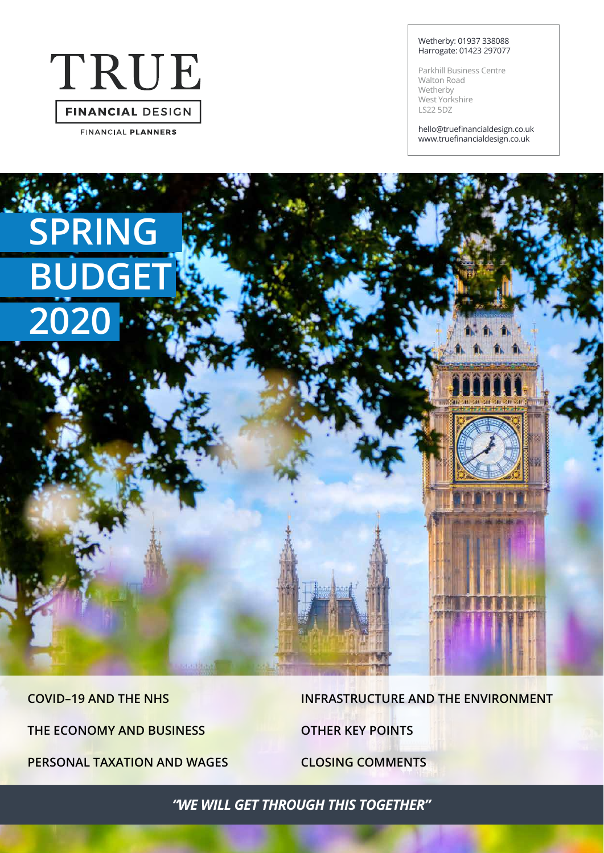# TRUE **FINANCIAL DESIGN**

**FINANCIAL PLANNERS** 

**SPRING**

**BUDGET**

**2020**

#### Wetherby: 01937 338088 Harrogate: 01423 297077

Parkhill Business Centre Walton Road Wetherby West Yorkshire LS22 5DZ

hello@truefinancialdesign.co.uk www.truefinancialdesign.co.uk

**COVID–19 AND THE NHS THE ECONOMY AND BUSINESS PERSONAL TAXATION AND WAGES**

**Statistical** 

**INFRASTRUCTURE AND THE ENVIRONMENT OTHER KEY POINTS CLOSING COMMENTS**

*"WE WILL GET THROUGH THIS TOGETHER"*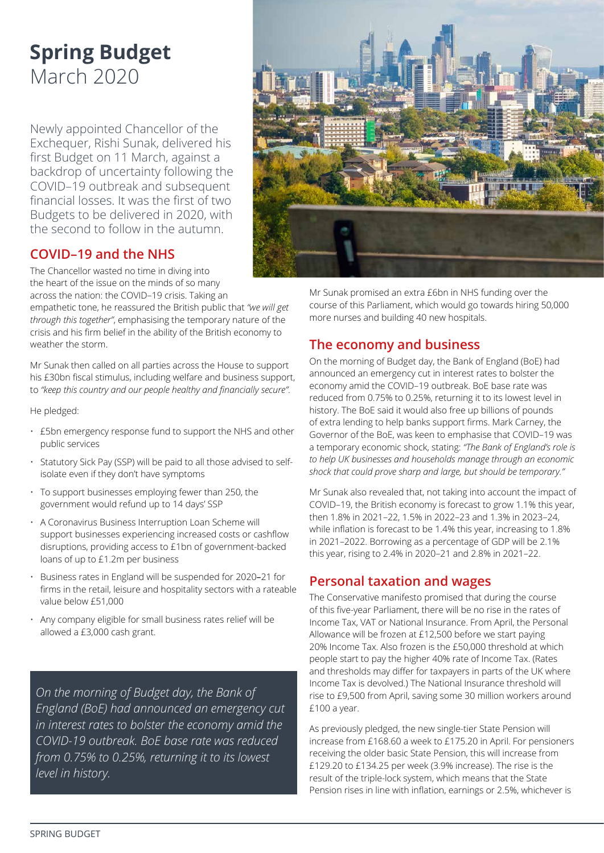### **Spring Budget** March 2020

Newly appointed Chancellor of the Exchequer, Rishi Sunak, delivered his first Budget on 11 March, against a backdrop of uncertainty following the COVID–19 outbreak and subsequent financial losses. It was the first of two Budgets to be delivered in 2020, with the second to follow in the autumn.

#### **COVID–19 and the NHS**

The Chancellor wasted no time in diving into the heart of the issue on the minds of so many across the nation: the COVID–19 crisis. Taking an

empathetic tone, he reassured the British public that *"we will get through this together"*, emphasising the temporary nature of the crisis and his firm belief in the ability of the British economy to weather the storm.

Mr Sunak then called on all parties across the House to support his £30bn fiscal stimulus, including welfare and business support, to *"keep this country and our people healthy and financially secure"*.

He pledged:

- £5bn emergency response fund to support the NHS and other public services
- Statutory Sick Pay (SSP) will be paid to all those advised to selfisolate even if they don't have symptoms
- To support businesses employing fewer than 250, the government would refund up to 14 days' SSP
- A Coronavirus Business Interruption Loan Scheme will support businesses experiencing increased costs or cashflow disruptions, providing access to £1bn of government-backed loans of up to £1.2m per business
- Business rates in England will be suspended for 2020–21 for firms in the retail, leisure and hospitality sectors with a rateable value below £51,000
- Any company eligible for small business rates relief will be allowed a £3,000 cash grant.

*On the morning of Budget day, the Bank of England (BoE) had announced an emergency cut in interest rates to bolster the economy amid the COVID-19 outbreak. BoE base rate was reduced from 0.75% to 0.25%, returning it to its lowest level in history.*



Mr Sunak promised an extra £6bn in NHS funding over the course of this Parliament, which would go towards hiring 50,000 more nurses and building 40 new hospitals.

### **The economy and business**

On the morning of Budget day, the Bank of England (BoE) had announced an emergency cut in interest rates to bolster the economy amid the COVID–19 outbreak. BoE base rate was reduced from 0.75% to 0.25%, returning it to its lowest level in history. The BoE said it would also free up billions of pounds of extra lending to help banks support firms. Mark Carney, the Governor of the BoE, was keen to emphasise that COVID–19 was a temporary economic shock, stating: *"The Bank of England's role is to help UK businesses and households manage through an economic shock that could prove sharp and large, but should be temporary."*

Mr Sunak also revealed that, not taking into account the impact of COVID–19, the British economy is forecast to grow 1.1% this year, then 1.8% in 2021–22, 1.5% in 2022–23 and 1.3% in 2023–24, while inflation is forecast to be 1.4% this year, increasing to 1.8% in 2021–2022. Borrowing as a percentage of GDP will be 2.1% this year, rising to 2.4% in 2020–21 and 2.8% in 2021–22.

#### **Personal taxation and wages**

The Conservative manifesto promised that during the course of this five-year Parliament, there will be no rise in the rates of Income Tax, VAT or National Insurance. From April, the Personal Allowance will be frozen at £12,500 before we start paying 20% Income Tax. Also frozen is the £50,000 threshold at which people start to pay the higher 40% rate of Income Tax. (Rates and thresholds may differ for taxpayers in parts of the UK where Income Tax is devolved.) The National Insurance threshold will rise to £9,500 from April, saving some 30 million workers around £100 a year.

As previously pledged, the new single-tier State Pension will increase from £168.60 a week to £175.20 in April. For pensioners receiving the older basic State Pension, this will increase from £129.20 to £134.25 per week (3.9% increase). The rise is the result of the triple-lock system, which means that the State Pension rises in line with inflation, earnings or 2.5%, whichever is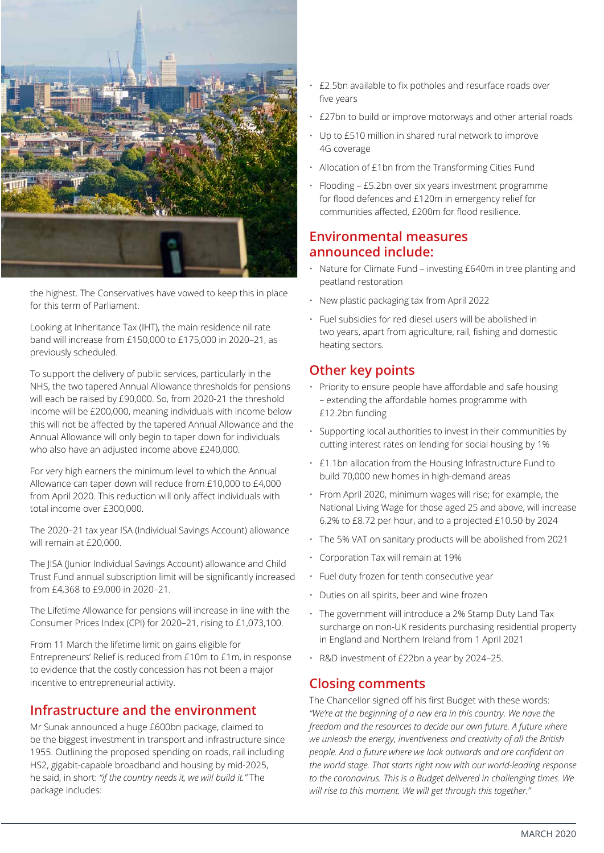

the highest. The Conservatives have vowed to keep this in place for this term of Parliament.

Looking at Inheritance Tax (IHT), the main residence nil rate band will increase from £150,000 to £175,000 in 2020–21, as previously scheduled.

To support the delivery of public services, particularly in the NHS, the two tapered Annual Allowance thresholds for pensions will each be raised by £90,000. So, from 2020-21 the threshold income will be £200,000, meaning individuals with income below this will not be affected by the tapered Annual Allowance and the Annual Allowance will only begin to taper down for individuals who also have an adjusted income above £240,000.

For very high earners the minimum level to which the Annual Allowance can taper down will reduce from £10,000 to £4,000 from April 2020. This reduction will only affect individuals with total income over £300,000.

The 2020–21 tax year ISA (Individual Savings Account) allowance will remain at £20,000.

The JISA (Junior Individual Savings Account) allowance and Child Trust Fund annual subscription limit will be significantly increased from £4,368 to £9,000 in 2020–21.

The Lifetime Allowance for pensions will increase in line with the Consumer Prices Index (CPI) for 2020–21, rising to £1,073,100.

From 11 March the lifetime limit on gains eligible for Entrepreneurs' Relief is reduced from £10m to £1m, in response to evidence that the costly concession has not been a major incentive to entrepreneurial activity.

#### **Infrastructure and the environment**

Mr Sunak announced a huge £600bn package, claimed to be the biggest investment in transport and infrastructure since 1955. Outlining the proposed spending on roads, rail including HS2, gigabit-capable broadband and housing by mid-2025, he said, in short: *"if the country needs it, we will build it."* The package includes:

- £2.5bn available to fix potholes and resurface roads over five years
- £27bn to build or improve motorways and other arterial roads
- Up to £510 million in shared rural network to improve 4G coverage
- Allocation of £1bn from the Transforming Cities Fund
- Flooding £5.2bn over six years investment programme for flood defences and £120m in emergency relief for communities affected, £200m for flood resilience.

#### **Environmental measures announced include:**

- Nature for Climate Fund investing £640m in tree planting and peatland restoration
- New plastic packaging tax from April 2022
- Fuel subsidies for red diesel users will be abolished in two years, apart from agriculture, rail, fishing and domestic heating sectors.

#### **Other key points**

- Priority to ensure people have affordable and safe housing – extending the affordable homes programme with £12.2bn funding
- Supporting local authorities to invest in their communities by cutting interest rates on lending for social housing by 1%
- £1.1bn allocation from the Housing Infrastructure Fund to build 70,000 new homes in high-demand areas
- From April 2020, minimum wages will rise; for example, the National Living Wage for those aged 25 and above, will increase 6.2% to £8.72 per hour, and to a projected £10.50 by 2024
- The 5% VAT on sanitary products will be abolished from 2021
- Corporation Tax will remain at 19%
- Fuel duty frozen for tenth consecutive year
- Duties on all spirits, beer and wine frozen
- The government will introduce a 2% Stamp Duty Land Tax surcharge on non-UK residents purchasing residential property in England and Northern Ireland from 1 April 2021
- R&D investment of £22bn a year by 2024–25.

#### **Closing comments**

The Chancellor signed off his first Budget with these words: *"We're at the beginning of a new era in this country. We have the freedom and the resources to decide our own future. A future where we unleash the energy, inventiveness and creativity of all the British people. And a future where we look outwards and are confident on the world stage. That starts right now with our world-leading response to the coronavirus. This is a Budget delivered in challenging times. We will rise to this moment. We will get through this together."*